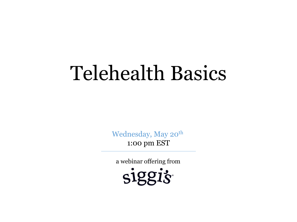### Telehealth Basics

Wednesday, May 20<sup>th</sup> 1:00 pm EST

a webinar offering from

siggis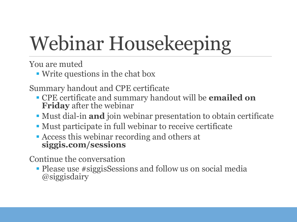# Webinar Housekeeping

You are muted

■ Write questions in the chat box

Summary handout and CPE certificate

- CPE certificate and summary handout will be **emailed on Friday** after the webinar
- Must dial-in **and** join webinar presentation to obtain certificate
- Must participate in full webinar to receive certificate
- Access this webinar recording and others at **siggis.com/sessions**

Continue the conversation

• Please use #siggisSessions and follow us on social media @siggisdairy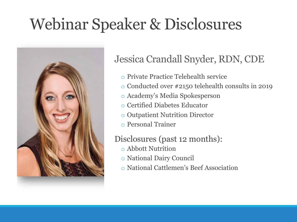### Webinar Speaker & Disclosures



### Jessica Crandall Snyder, RDN, CDE

- o Private Practice Telehealth service
- o Conducted over #2150 telehealth consults in 2019
- o Academy's Media Spokesperson
- o Certified Diabetes Educator
- o Outpatient Nutrition Director
- o Personal Trainer

### Disclosures (past 12 months):

- o Abbott Nutrition
- o National Dairy Council
- o National Cattlemen's Beef Association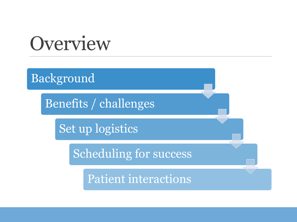### **Overview**

Background

Benefits / challenges

Set up logistics

Scheduling for success

Patient interactions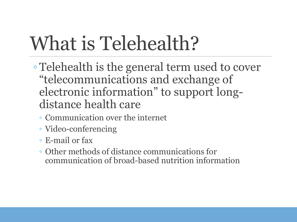## What is Telehealth?

- Telehealth is the general term used to cover "telecommunications and exchange of electronic information" to support longdistance health care
	- Communication over the internet
	- Video-conferencing
	- E-mail or fax
	- Other methods of distance communications for communication of broad-based nutrition information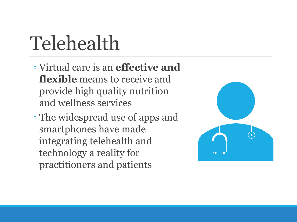## Telehealth

- Virtual care is an **effective and flexible** means to receive and provide high quality nutrition and wellness services
- The widespread use of apps and smartphones have made integrating telehealth and technology a reality for practitioners and patients

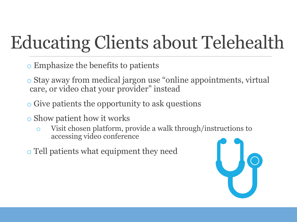### Educating Clients about Telehealth

- o Emphasize the benefits to patients
- o Stay away from medical jargon use "online appointments, virtual care, or video chat your provider" instead
- o Give patients the opportunity to ask questions
- o Show patient how it works
	- o Visit chosen platform, provide a walk through/instructions to accessing video conference
- o Tell patients what equipment they need

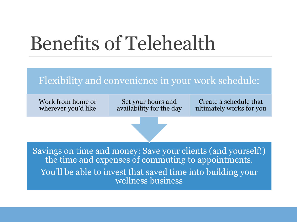### Benefits of Telehealth

### Flexibility and convenience in your work schedule:

Work from home or wherever you'd like

Set your hours and availability for the day

Create a schedule that ultimately works for you

Savings on time and money: Save your clients (and yourself!) the time and expenses of commuting to appointments. You'll be able to invest that saved time into building your wellness business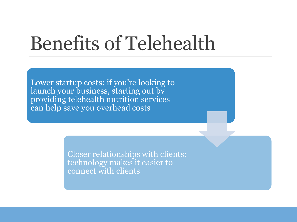### Benefits of Telehealth

Lower startup costs: if you're looking to launch your business, starting out by providing telehealth nutrition services can help save you overhead costs

> Closer relationships with clients: technology makes it easier to connect with clients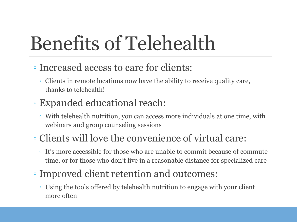# Benefits of Telehealth

- Increased access to care for clients:
	- Clients in remote locations now have the ability to receive quality care, thanks to telehealth!

### ◦ Expanded educational reach:

◦ With telehealth nutrition, you can access more individuals at one time, with webinars and group counseling sessions

### ◦ Clients will love the convenience of virtual care:

- It's more accessible for those who are unable to commit because of commute time, or for those who don't live in a reasonable distance for specialized care
- Improved client retention and outcomes:
	- Using the tools offered by telehealth nutrition to engage with your client more often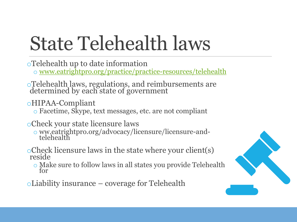# State Telehealth laws

- oTelehealth up to date information
	- o [www.eatrightpro.org/practice/practice-resources/telehealth](http://www.eatrightpro.org/practice/practice-resources/telehealth)
- oTelehealth laws, regulations, and reimbursements are determined by each state of government
- oHIPAA-Compliant
	- o Facetime, Skype, text messages, etc. are not compliant
- oCheck your state licensure laws
	- o ww.eatrightpro.org/advocacy/licensure/licensure-andtelehealth
- $\circ$ Check licensure laws in the state where your client(s) reside
	- o Make sure to follow laws in all states you provide Telehealth for
- oLiability insurance coverage for Telehealth

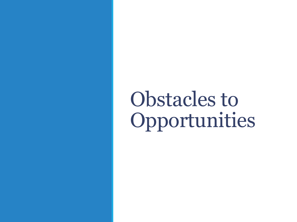Obstacles to Opportunities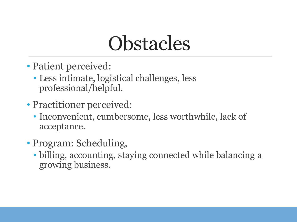### **Obstacles**

- Patient perceived:
	- Less intimate, logistical challenges, less professional/helpful.
- Practitioner perceived:
	- Inconvenient, cumbersome, less worthwhile, lack of acceptance.
- Program: Scheduling,
	- billing, accounting, staying connected while balancing a growing business.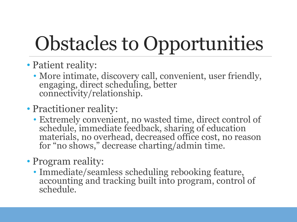# Obstacles to Opportunities

- Patient reality:
	- More intimate, discovery call, convenient, user friendly, engaging, direct scheduling, better connectivity/relationship.
- Practitioner reality:
	- Extremely convenient, no wasted time, direct control of schedule, immediate feedback, sharing of education materials, no overhead, decreased office cost, no reason for "no shows," decrease charting/admin time.
- Program reality:
	- Immediate/seamless scheduling rebooking feature, accounting and tracking built into program, control of schedule.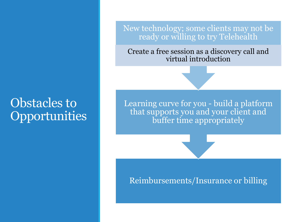### Obstacles to **Opportunities**

New technology; some clients may not be ready or willing to try Telehealth

Create a free session as a discovery call and virtual introduction

Learning curve for you - build a platform that supports you and your client and buffer time appropriately

#### Reimbursements/Insurance or billing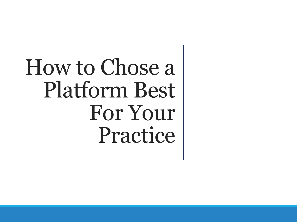# How to Chose a Platform Best For Your Practice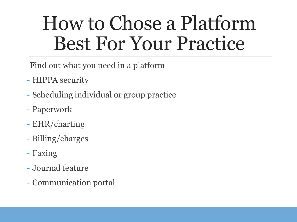### How to Chose a Platform Best For Your Practice

Find out what you need in a platform

- HIPPA security
- Scheduling individual or group practice
- Paperwork
- EHR/charting
- Billing/charges
- Faxing
- Journal feature
- Communication portal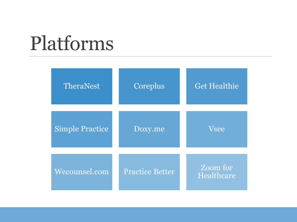| TheraNest              | Coreplus               | <b>Get Healthie</b>    |
|------------------------|------------------------|------------------------|
| <b>Simple Practice</b> | Doxy.me                | <b>Vsee</b>            |
| Wecounsel.com          | <b>Practice Better</b> | Zoom for<br>Healthcare |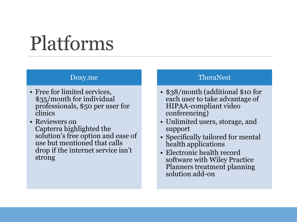#### Doxy.me

- Free for limited services, \$35/month for individual professionals, \$50 per user for clinics
- Reviewers on Capterra highlighted the solution's free option and ease of use but mentioned that calls drop if the internet service isn't strong

#### TheraNest

- \$38/month (additional \$10 for each user to take advantage of HIPAA-compliant video conferencing)
- Unlimited users, storage, and support
- Specifically tailored for mental health applications
- Electronic health record software with Wiley Practice Planners treatment planning solution add-on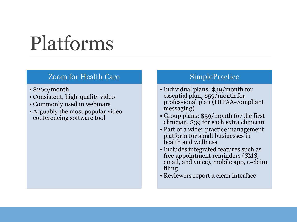#### Zoom for Health Care

- \$200/month
- Consistent, high-quality video
- Commonly used in webinars
- Arguably the most popular video conferencing software tool

#### **SimplePractice**

- Individual plans: \$39/month for essential plan, \$59/month for professional plan (HIPAA-compliant messaging)
- Group plans: \$59/month for the first clinician, \$39 for each extra clinician
- Part of a wider practice management platform for small businesses in health and wellness
- Includes integrated features such as free appointment reminders (SMS, email, and voice), mobile app, e-claim filing
- Reviewers report a clean interface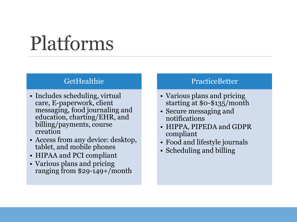#### **GetHealthie**

- Includes scheduling, virtual care, E-paperwork, client messaging, food journaling and education, charting/EHR, and billing/payments, course creation
- Access from any device: desktop, tablet, and mobile phones
- HIPAA and PCI compliant
- Various plans and pricing ranging from \$29-149+/month

#### **PracticeBetter**

- Various plans and pricing starting at \$0-\$135/month
- Secure messaging and notifications
- HIPPA, PIPEDA and GDPR compliant
- Food and lifestyle journals
- Scheduling and billing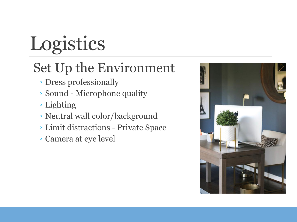# Logistics

### Set Up the Environment

- Dress professionally
- Sound Microphone quality
- Lighting
- Neutral wall color/background
- Limit distractions Private Space
- Camera at eye level

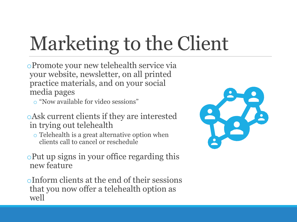# Marketing to the Client

oPromote your new telehealth service via your website, newsletter, on all printed practice materials, and on your social media pages

o "Now available for video sessions"

oAsk current clients if they are interested in trying out telehealth

- o Telehealth is a great alternative option when clients call to cancel or reschedule
- oPut up signs in your office regarding this new feature

oInform clients at the end of their sessions that you now offer a telehealth option as well

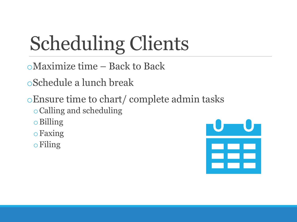# Scheduling Clients

oMaximize time – Back to Back

oSchedule a lunch break

oEnsure time to chart/ complete admin tasks

oCalling and scheduling

oBilling

oFaxing

oFiling

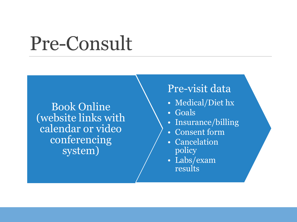### Pre-Consult

Book Online (website links with calendar or video conferencing system)

### Pre-visit data

- Medical/Diet hx
- Goals
- Insurance/billing
- Consent form
- Cancelation policy
- Labs/exam results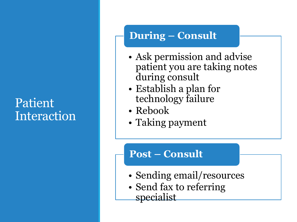### Patient Interaction

### **During – Consult**

- Ask permission and advise patient you are taking notes during consult
- Establish a plan for technology failure
- Rebook
- Taking payment

### **Post – Consult**

- Sending email/resources
- Send fax to referring specialist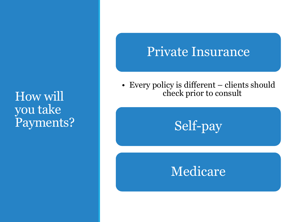### How will you take Payments?

### Private Insurance

• Every policy is different – clients should check prior to consult



### Medicare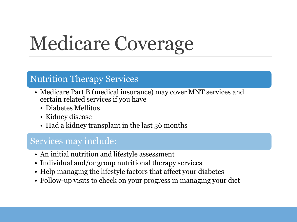## Medicare Coverage

#### Nutrition Therapy Services

- Medicare Part B (medical insurance) may cover MNT services and certain related services if you have
	- Diabetes Mellitus
	- Kidney disease
	- Had a kidney transplant in the last 36 months

#### Services may include:

- An initial nutrition and lifestyle assessment
- Individual and/or group nutritional therapy services
- Help managing the lifestyle factors that affect your diabetes
- Follow-up visits to check on your progress in managing your diet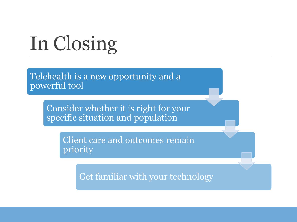# In Closing

Telehealth is a new opportunity and a powerful tool

> Consider whether it is right for your specific situation and population

> > Client care and outcomes remain priority

> > > Get familiar with your technology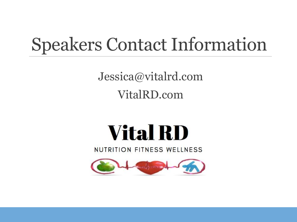### Speakers Contact Information

Jessica@vitalrd.com VitalRD.com

## **Vital RD**

NUTRITION FITNESS WELLNESS